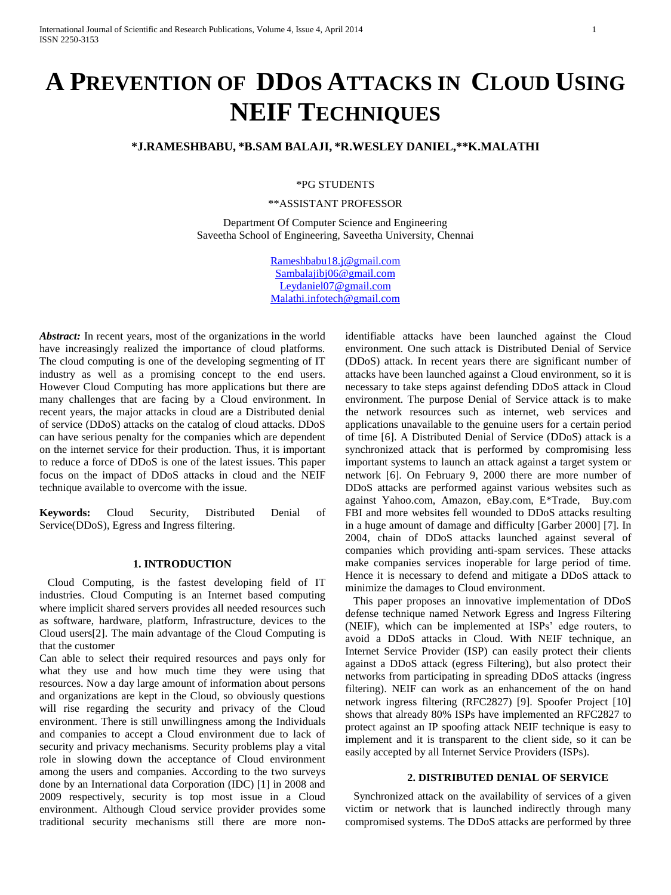# **A PREVENTION OF DDOS ATTACKS IN CLOUD USING NEIF TECHNIQUES**

## **\*J.RAMESHBABU, \*B.SAM BALAJI, \*R.WESLEY DANIEL,\*\*K.MALATHI**

\*PG STUDENTS

\*\*ASSISTANT PROFESSOR

Department Of Computer Science and Engineering Saveetha School of Engineering, Saveetha University, Chennai

> [Rameshbabu18.j@gmail.com](mailto:Rameshbabu18.j@gmail.com) [Sambalajibj06@gmail.com](mailto:Sambalajibj06@gmail.com) [Leydaniel07@gmail.com](mailto:Leydaniel07@gmail.com) [Malathi.infotech@gmail.com](mailto:Malathi.infotech@gmail.com)

*Abstract:* In recent years, most of the organizations in the world have increasingly realized the importance of cloud platforms. The cloud computing is one of the developing segmenting of IT industry as well as a promising concept to the end users. However Cloud Computing has more applications but there are many challenges that are facing by a Cloud environment. In recent years, the major attacks in cloud are a Distributed denial of service (DDoS) attacks on the catalog of cloud attacks. DDoS can have serious penalty for the companies which are dependent on the internet service for their production. Thus, it is important to reduce a force of DDoS is one of the latest issues. This paper focus on the impact of DDoS attacks in cloud and the NEIF technique available to overcome with the issue.

**Keywords:** Cloud Security, Distributed Denial of Service(DDoS), Egress and Ingress filtering.

## **1. INTRODUCTION**

 Cloud Computing, is the fastest developing field of IT industries. Cloud Computing is an Internet based computing where implicit shared servers provides all needed resources such as software, hardware, platform, Infrastructure, devices to the Cloud users[2]. The main advantage of the Cloud Computing is that the customer

Can able to select their required resources and pays only for what they use and how much time they were using that resources. Now a day large amount of information about persons and organizations are kept in the Cloud, so obviously questions will rise regarding the security and privacy of the Cloud environment. There is still unwillingness among the Individuals and companies to accept a Cloud environment due to lack of security and privacy mechanisms. Security problems play a vital role in slowing down the acceptance of Cloud environment among the users and companies. According to the two surveys done by an International data Corporation (IDC) [1] in 2008 and 2009 respectively, security is top most issue in a Cloud environment. Although Cloud service provider provides some traditional security mechanisms still there are more nonidentifiable attacks have been launched against the Cloud environment. One such attack is Distributed Denial of Service (DDoS) attack. In recent years there are significant number of attacks have been launched against a Cloud environment, so it is necessary to take steps against defending DDoS attack in Cloud environment. The purpose Denial of Service attack is to make the network resources such as internet, web services and applications unavailable to the genuine users for a certain period of time [6]. A Distributed Denial of Service (DDoS) attack is a synchronized attack that is performed by compromising less important systems to launch an attack against a target system or network [6]. On February 9, 2000 there are more number of DDoS attacks are performed against various websites such as against Yahoo.com, Amazon, eBay.com, E\*Trade, Buy.com FBI and more websites fell wounded to DDoS attacks resulting in a huge amount of damage and difficulty [Garber 2000] [7]. In 2004, chain of DDoS attacks launched against several of companies which providing anti-spam services. These attacks make companies services inoperable for large period of time. Hence it is necessary to defend and mitigate a DDoS attack to minimize the damages to Cloud environment.

 This paper proposes an innovative implementation of DDoS defense technique named Network Egress and Ingress Filtering (NEIF), which can be implemented at ISPs' edge routers, to avoid a DDoS attacks in Cloud. With NEIF technique, an Internet Service Provider (ISP) can easily protect their clients against a DDoS attack (egress Filtering), but also protect their networks from participating in spreading DDoS attacks (ingress filtering). NEIF can work as an enhancement of the on hand network ingress filtering (RFC2827) [9]. Spoofer Project [10] shows that already 80% ISPs have implemented an RFC2827 to protect against an IP spoofing attack NEIF technique is easy to implement and it is transparent to the client side, so it can be easily accepted by all Internet Service Providers (ISPs).

#### **2. DISTRIBUTED DENIAL OF SERVICE**

 Synchronized attack on the availability of services of a given victim or network that is launched indirectly through many compromised systems. The DDoS attacks are performed by three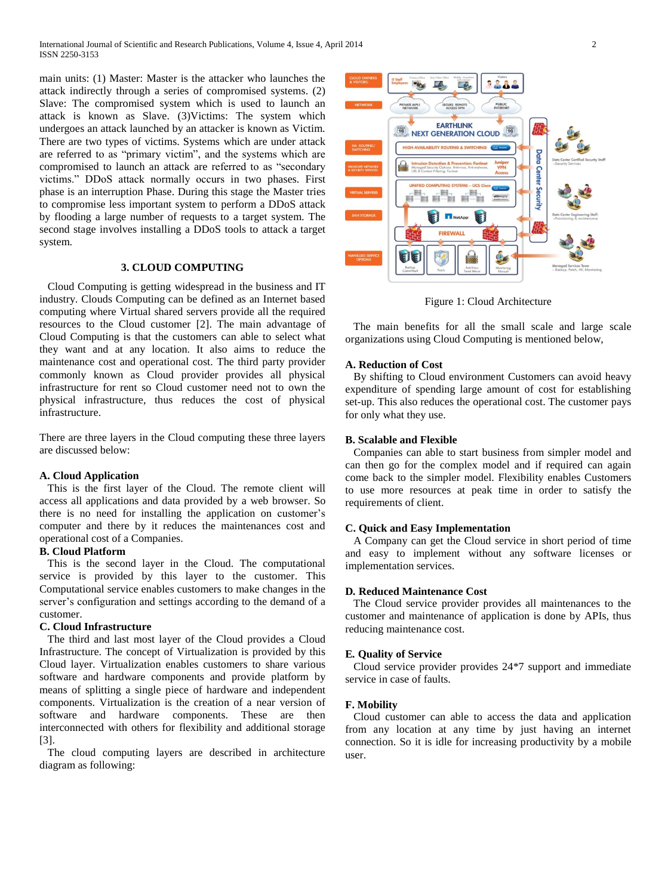International Journal of Scientific and Research Publications, Volume 4, Issue 4, April 2014 2 ISSN 2250-3153

main units: (1) Master: Master is the attacker who launches the attack indirectly through a series of compromised systems. (2) Slave: The compromised system which is used to launch an attack is known as Slave. (3)Victims: The system which undergoes an attack launched by an attacker is known as Victim. There are two types of victims. Systems which are under attack are referred to as "primary victim", and the systems which are compromised to launch an attack are referred to as "secondary victims." DDoS attack normally occurs in two phases. First phase is an interruption Phase. During this stage the Master tries to compromise less important system to perform a DDoS attack by flooding a large number of requests to a target system. The second stage involves installing a DDoS tools to attack a target system.

## **3. CLOUD COMPUTING**

 Cloud Computing is getting widespread in the business and IT industry. Clouds Computing can be defined as an Internet based computing where Virtual shared servers provide all the required resources to the Cloud customer [2]. The main advantage of Cloud Computing is that the customers can able to select what they want and at any location. It also aims to reduce the maintenance cost and operational cost. The third party provider commonly known as Cloud provider provides all physical infrastructure for rent so Cloud customer need not to own the physical infrastructure, thus reduces the cost of physical infrastructure.

There are three layers in the Cloud computing these three layers are discussed below:

#### **A. Cloud Application**

 This is the first layer of the Cloud. The remote client will access all applications and data provided by a web browser. So there is no need for installing the application on customer's computer and there by it reduces the maintenances cost and operational cost of a Companies.

## **B. Cloud Platform**

 This is the second layer in the Cloud. The computational service is provided by this layer to the customer. This Computational service enables customers to make changes in the server's configuration and settings according to the demand of a customer.

## **C. Cloud Infrastructure**

 The third and last most layer of the Cloud provides a Cloud Infrastructure. The concept of Virtualization is provided by this Cloud layer. Virtualization enables customers to share various software and hardware components and provide platform by means of splitting a single piece of hardware and independent components. Virtualization is the creation of a near version of software and hardware components. These are then interconnected with others for flexibility and additional storage [3].

 The cloud computing layers are described in architecture diagram as following:



Figure 1: Cloud Architecture

 The main benefits for all the small scale and large scale organizations using Cloud Computing is mentioned below,

## **A. Reduction of Cost**

 By shifting to Cloud environment Customers can avoid heavy expenditure of spending large amount of cost for establishing set-up. This also reduces the operational cost. The customer pays for only what they use.

#### **B. Scalable and Flexible**

 Companies can able to start business from simpler model and can then go for the complex model and if required can again come back to the simpler model. Flexibility enables Customers to use more resources at peak time in order to satisfy the requirements of client.

## **C. Quick and Easy Implementation**

 A Company can get the Cloud service in short period of time and easy to implement without any software licenses or implementation services.

#### **D***.* **Reduced Maintenance Cost**

 The Cloud service provider provides all maintenances to the customer and maintenance of application is done by APIs, thus reducing maintenance cost.

#### **E***.* **Quality of Service**

 Cloud service provider provides 24\*7 support and immediate service in case of faults.

## **F. Mobility**

 Cloud customer can able to access the data and application from any location at any time by just having an internet connection. So it is idle for increasing productivity by a mobile user.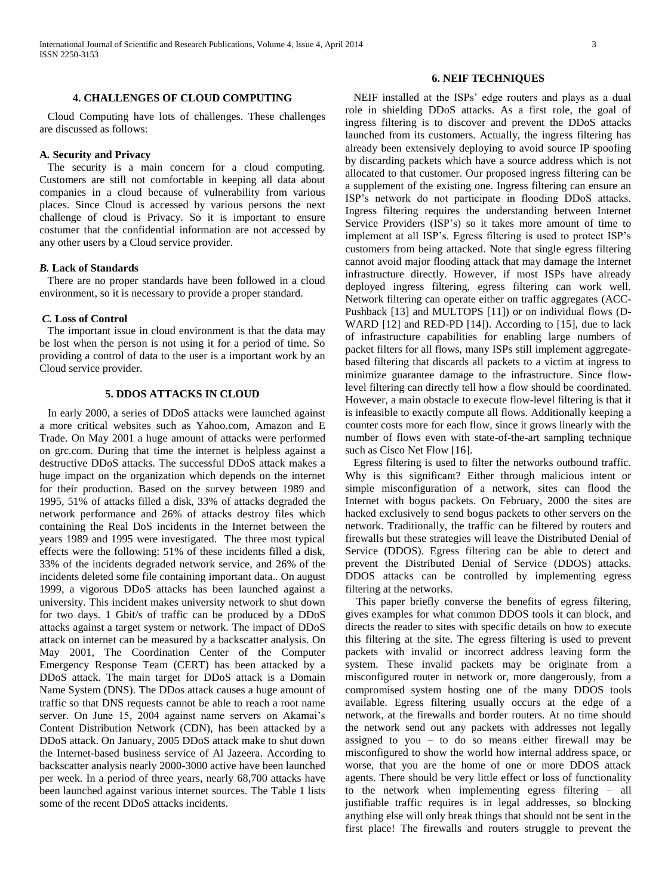## **4. CHALLENGES OF CLOUD COMPUTING**

 Cloud Computing have lots of challenges. These challenges are discussed as follows:

## **A***.* **Security and Privacy**

 The security is a main concern for a cloud computing. Customers are still not comfortable in keeping all data about companies in a cloud because of vulnerability from various places. Since Cloud is accessed by various persons the next challenge of cloud is Privacy. So it is important to ensure costumer that the confidential information are not accessed by any other users by a Cloud service provider.

#### *B.* **Lack of Standards**

 There are no proper standards have been followed in a cloud environment, so it is necessary to provide a proper standard.

#### *C.* **Loss of Control**

 The important issue in cloud environment is that the data may be lost when the person is not using it for a period of time. So providing a control of data to the user is a important work by an Cloud service provider.

## **5. DDOS ATTACKS IN CLOUD**

 In early 2000, a series of DDoS attacks were launched against a more critical websites such as Yahoo.com, Amazon and E Trade. On May 2001 a huge amount of attacks were performed on grc.com. During that time the internet is helpless against a destructive DDoS attacks. The successful DDoS attack makes a huge impact on the organization which depends on the internet for their production. Based on the survey between 1989 and 1995, 51% of attacks filled a disk, 33% of attacks degraded the network performance and 26% of attacks destroy files which containing the Real DoS incidents in the Internet between the years 1989 and 1995 were investigated. The three most typical effects were the following: 51% of these incidents filled a disk, 33% of the incidents degraded network service, and 26% of the incidents deleted some file containing important data.. On august 1999, a vigorous DDoS attacks has been launched against a university. This incident makes university network to shut down for two days. 1 Gbit/s of traffic can be produced by a DDoS attacks against a target system or network. The impact of DDoS attack on internet can be measured by a backscatter analysis. On May 2001, The Coordination Center of the Computer Emergency Response Team (CERT) has been attacked by a DDoS attack. The main target for DDoS attack is a Domain Name System (DNS). The DDos attack causes a huge amount of traffic so that DNS requests cannot be able to reach a root name server. On June 15, 2004 against name servers on Akamai's Content Distribution Network (CDN), has been attacked by a DDoS attack. On January, 2005 DDoS attack make to shut down the Internet-based business service of Al Jazeera. According to backscatter analysis nearly 2000-3000 active have been launched per week. In a period of three years, nearly 68,700 attacks have been launched against various internet sources. The Table 1 lists some of the recent DDoS attacks incidents.

## **6. NEIF TECHNIQUES**

 NEIF installed at the ISPs' edge routers and plays as a dual role in shielding DDoS attacks. As a first role, the goal of ingress filtering is to discover and prevent the DDoS attacks launched from its customers. Actually, the ingress filtering has already been extensively deploying to avoid source IP spoofing by discarding packets which have a source address which is not allocated to that customer. Our proposed ingress filtering can be a supplement of the existing one. Ingress filtering can ensure an ISP's network do not participate in flooding DDoS attacks. Ingress filtering requires the understanding between Internet Service Providers (ISP's) so it takes more amount of time to implement at all ISP's. Egress filtering is used to protect ISP's customers from being attacked. Note that single egress filtering cannot avoid major flooding attack that may damage the Internet infrastructure directly. However, if most ISPs have already deployed ingress filtering, egress filtering can work well. Network filtering can operate either on traffic aggregates (ACC-Pushback [13] and MULTOPS [11]) or on individual flows (D-WARD [12] and RED-PD [14]). According to [15], due to lack of infrastructure capabilities for enabling large numbers of packet filters for all flows, many ISPs still implement aggregatebased filtering that discards all packets to a victim at ingress to minimize guarantee damage to the infrastructure. Since flowlevel filtering can directly tell how a flow should be coordinated. However, a main obstacle to execute flow-level filtering is that it is infeasible to exactly compute all flows. Additionally keeping a counter costs more for each flow, since it grows linearly with the number of flows even with state-of-the-art sampling technique such as Cisco Net Flow [16].

 Egress filtering is used to filter the networks outbound traffic. Why is this significant? Either through malicious intent or simple misconfiguration of a network, sites can flood the Internet with bogus packets. On February, 2000 the sites are hacked exclusively to send bogus packets to other servers on the network. Traditionally, the traffic can be filtered by routers and firewalls but these strategies will leave the Distributed Denial of Service (DDOS). Egress filtering can be able to detect and prevent the Distributed Denial of Service (DDOS) attacks. DDOS attacks can be controlled by implementing egress filtering at the networks.

 This paper briefly converse the benefits of egress filtering, gives examples for what common DDOS tools it can block, and directs the reader to sites with specific details on how to execute this filtering at the site. The egress filtering is used to prevent packets with invalid or incorrect address leaving form the system. These invalid packets may be originate from a misconfigured router in network or, more dangerously, from a compromised system hosting one of the many DDOS tools available. Egress filtering usually occurs at the edge of a network, at the firewalls and border routers. At no time should the network send out any packets with addresses not legally assigned to you – to do so means either firewall may be misconfigured to show the world how internal address space, or worse, that you are the home of one or more DDOS attack agents. There should be very little effect or loss of functionality to the network when implementing egress filtering – all justifiable traffic requires is in legal addresses, so blocking anything else will only break things that should not be sent in the first place! The firewalls and routers struggle to prevent the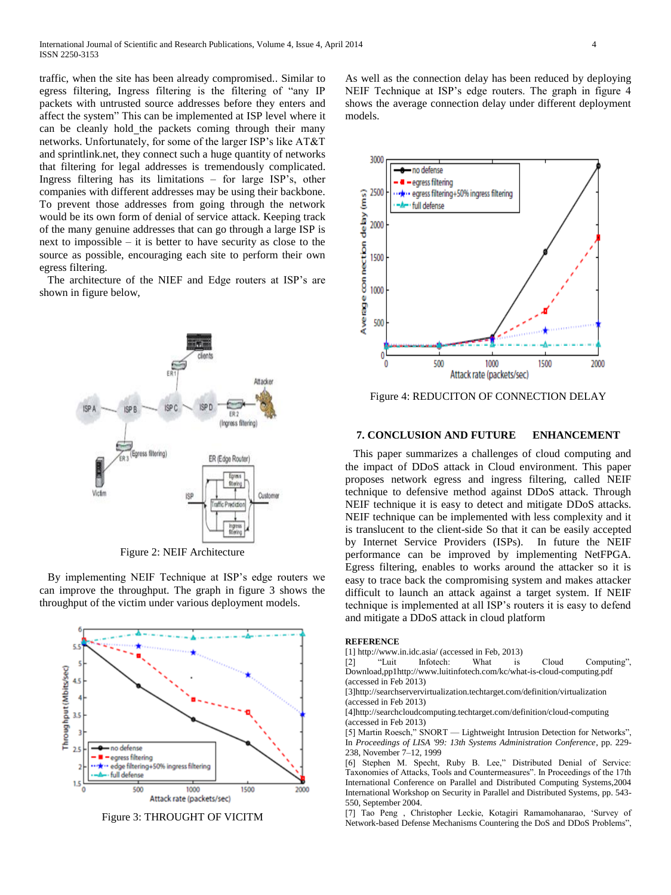traffic, when the site has been already compromised.. Similar to egress filtering, Ingress filtering is the filtering of "any IP packets with untrusted source addresses before they enters and affect the system" This can be implemented at ISP level where it can be cleanly hold the packets coming through their many networks. Unfortunately, for some of the larger ISP's like AT&T and sprintlink.net, they connect such a huge quantity of networks that filtering for legal addresses is tremendously complicated. Ingress filtering has its limitations – for large ISP's, other companies with different addresses may be using their backbone. To prevent those addresses from going through the network would be its own form of denial of service attack. Keeping track of the many genuine addresses that can go through a large ISP is next to impossible – it is better to have security as close to the source as possible, encouraging each site to perform their own egress filtering.

 The architecture of the NIEF and Edge routers at ISP's are shown in figure below,



Figure 2: NEIF Architecture

 By implementing NEIF Technique at ISP's edge routers we can improve the throughput. The graph in figure 3 shows the throughput of the victim under various deployment models.



Figure 3: THROUGHT OF VICITM

As well as the connection delay has been reduced by deploying NEIF Technique at ISP's edge routers. The graph in figure 4 shows the average connection delay under different deployment models.



Figure 4: REDUCITON OF CONNECTION DELAY

#### **7. CONCLUSION AND FUTURE ENHANCEMENT**

 This paper summarizes a challenges of cloud computing and the impact of DDoS attack in Cloud environment. This paper proposes network egress and ingress filtering, called NEIF technique to defensive method against DDoS attack. Through NEIF technique it is easy to detect and mitigate DDoS attacks. NEIF technique can be implemented with less complexity and it is translucent to the client-side So that it can be easily accepted by Internet Service Providers (ISPs). In future the NEIF performance can be improved by implementing NetFPGA. Egress filtering, enables to works around the attacker so it is easy to trace back the compromising system and makes attacker difficult to launch an attack against a target system. If NEIF technique is implemented at all ISP's routers it is easy to defend and mitigate a DDoS attack in cloud platform

#### **REFERENCE**

[1] http://www.in.idc.asia/ (accessed in Feb, 2013)

[2] "Luit Infotech: What is Cloud Computing", Download,pp1http://www.luitinfotech.com/kc/what-is-cloud-computing.pdf (accessed in Feb 2013)

[3]http://searchservervirtualization.techtarget.com/definition/virtualization (accessed in Feb 2013)

[4]http://searchcloudcomputing.techtarget.com/definition/cloud-computing (accessed in Feb 2013)

[5] Martin Roesch," SNORT — Lightweight Intrusion Detection for Networks", In *Proceedings of LISA '99: 13th Systems Administration Conference*, pp. 229- 238, November 7–12, 1999

[6] Stephen M. Specht, Ruby B. Lee," Distributed Denial of Service: Taxonomies of Attacks, Tools and Countermeasures". In Proceedings of the 17th International Conference on Parallel and Distributed Computing Systems,2004 International Workshop on Security in Parallel and Distributed Systems, pp. 543- 550, September 2004.

[7] Tao Peng , Christopher Leckie, Kotagiri Ramamohanarao, 'Survey of Network-based Defense Mechanisms Countering the DoS and DDoS Problems",